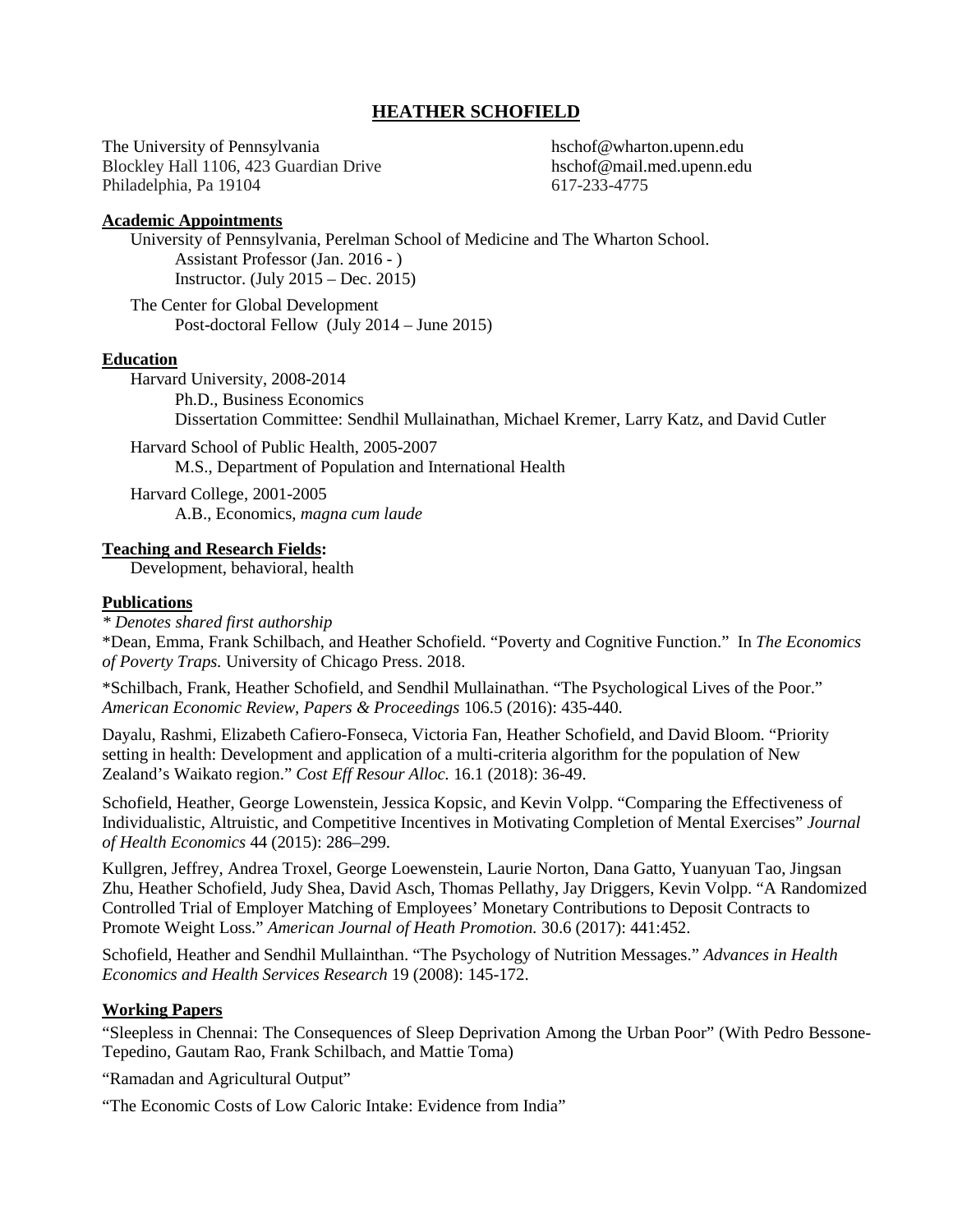# **HEATHER SCHOFIELD**

The University of Pennsylvania hschof@wharton.upenn.edu Blockley Hall 1106, 423 Guardian Drive hschof@mail.med.upenn.edu Philadelphia, Pa 19104 617-233-4775

#### **Academic Appointments**

University of Pennsylvania, Perelman School of Medicine and The Wharton School. Assistant Professor (Jan. 2016 - ) Instructor. (July 2015 – Dec. 2015)

The Center for Global Development Post-doctoral Fellow (July 2014 – June 2015)

#### **Education**

Harvard University, 2008-2014 Ph.D., Business Economics Dissertation Committee: Sendhil Mullainathan, Michael Kremer, Larry Katz, and David Cutler

Harvard School of Public Health, 2005-2007 M.S., Department of Population and International Health

Harvard College, 2001-2005 A.B., Economics, *magna cum laude*

#### **Teaching and Research Fields:**

Development, behavioral, health

### **Publications**

### *\* Denotes shared first authorship*

\*Dean, Emma, Frank Schilbach, and Heather Schofield. "Poverty and Cognitive Function." In *The Economics of Poverty Traps.* University of Chicago Press. 2018.

\*Schilbach, Frank, Heather Schofield, and Sendhil Mullainathan. "The Psychological Lives of the Poor." *American Economic Review, Papers & Proceedings* 106.5 (2016): 435-440.

Dayalu, Rashmi, Elizabeth Cafiero-Fonseca, Victoria Fan, Heather Schofield, and David Bloom. "Priority setting in health: Development and application of a multi-criteria algorithm for the population of New Zealand's Waikato region." *Cost Eff Resour Alloc.* 16.1 (2018): 36-49.

Schofield, Heather, George Lowenstein, Jessica Kopsic, and Kevin Volpp. "Comparing the Effectiveness of Individualistic, Altruistic, and Competitive Incentives in Motivating Completion of Mental Exercises" *Journal of Health Economics* 44 (2015): 286–299.

Kullgren, Jeffrey, Andrea Troxel, George Loewenstein, Laurie Norton, Dana Gatto, Yuanyuan Tao, Jingsan Zhu, Heather Schofield, Judy Shea, David Asch, Thomas Pellathy, Jay Driggers, Kevin Volpp. "A Randomized Controlled Trial of Employer Matching of Employees' Monetary Contributions to Deposit Contracts to Promote Weight Loss." *American Journal of Heath Promotion.* 30.6 (2017): 441:452.

Schofield, Heather and Sendhil Mullainthan. "The Psychology of Nutrition Messages." *Advances in Health Economics and Health Services Research* 19 (2008): 145-172.

### **Working Papers**

"Sleepless in Chennai: The Consequences of Sleep Deprivation Among the Urban Poor" (With Pedro Bessone-Tepedino, Gautam Rao, Frank Schilbach, and Mattie Toma)

"Ramadan and Agricultural Output"

"The Economic Costs of Low Caloric Intake: Evidence from India"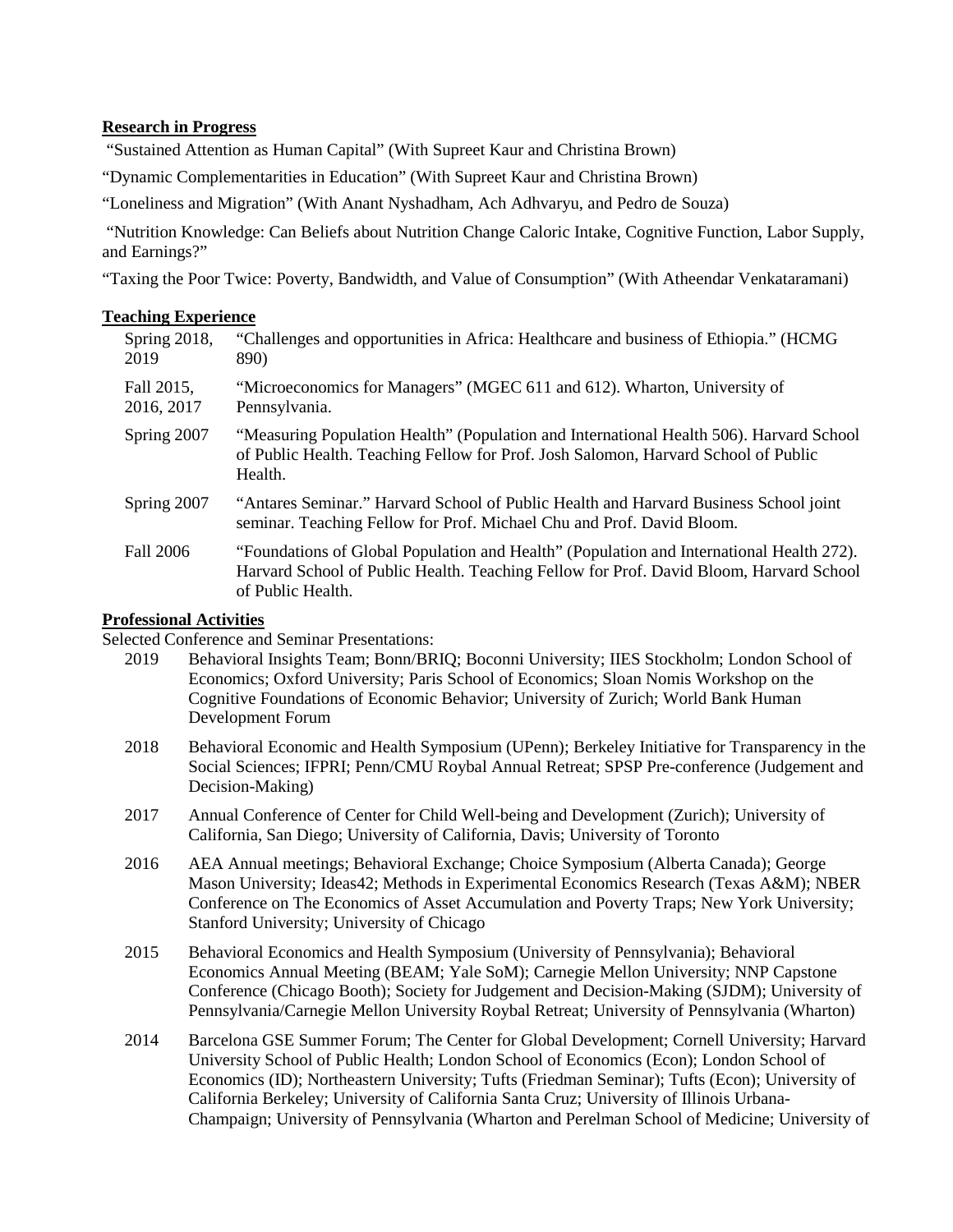### **Research in Progress**

"Sustained Attention as Human Capital" (With Supreet Kaur and Christina Brown)

"Dynamic Complementarities in Education" (With Supreet Kaur and Christina Brown)

"Loneliness and Migration" (With Anant Nyshadham, Ach Adhvaryu, and Pedro de Souza)

"Nutrition Knowledge: Can Beliefs about Nutrition Change Caloric Intake, Cognitive Function, Labor Supply, and Earnings?"

"Taxing the Poor Twice: Poverty, Bandwidth, and Value of Consumption" (With Atheendar Venkataramani)

| Spring 2018,<br>2019     | "Challenges and opportunities in Africa: Healthcare and business of Ethiopia." (HCMG)<br>890)                                                                                                           |
|--------------------------|---------------------------------------------------------------------------------------------------------------------------------------------------------------------------------------------------------|
| Fall 2015,<br>2016, 2017 | "Microeconomics for Managers" (MGEC 611 and 612). Wharton, University of<br>Pennsylvania.                                                                                                               |
| Spring 2007              | "Measuring Population Health" (Population and International Health 506). Harvard School<br>of Public Health. Teaching Fellow for Prof. Josh Salomon, Harvard School of Public<br>Health.                |
| Spring 2007              | "Antares Seminar." Harvard School of Public Health and Harvard Business School joint<br>seminar. Teaching Fellow for Prof. Michael Chu and Prof. David Bloom.                                           |
| Fall 2006                | "Foundations of Global Population and Health" (Population and International Health 272).<br>Harvard School of Public Health. Teaching Fellow for Prof. David Bloom, Harvard School<br>of Public Health. |

## **Professional Activities**

Selected Conference and Seminar Presentations:

- 2019 Behavioral Insights Team; Bonn/BRIQ; Boconni University; IIES Stockholm; London School of Economics; Oxford University; Paris School of Economics; Sloan Nomis Workshop on the Cognitive Foundations of Economic Behavior; University of Zurich; World Bank Human Development Forum
- 2018 Behavioral Economic and Health Symposium (UPenn); Berkeley Initiative for Transparency in the Social Sciences; IFPRI; Penn/CMU Roybal Annual Retreat; SPSP Pre-conference (Judgement and Decision-Making)
- 2017 Annual Conference of Center for Child Well-being and Development (Zurich); University of California, San Diego; University of California, Davis; University of Toronto
- 2016 AEA Annual meetings; Behavioral Exchange; Choice Symposium (Alberta Canada); George Mason University; Ideas42; Methods in Experimental Economics Research (Texas A&M); NBER Conference on The Economics of Asset Accumulation and Poverty Traps; New York University; Stanford University; University of Chicago
- 2015 Behavioral Economics and Health Symposium (University of Pennsylvania); Behavioral Economics Annual Meeting (BEAM; Yale SoM); Carnegie Mellon University; NNP Capstone Conference (Chicago Booth); Society for Judgement and Decision-Making (SJDM); University of Pennsylvania/Carnegie Mellon University Roybal Retreat; University of Pennsylvania (Wharton)
- 2014 Barcelona GSE Summer Forum; The Center for Global Development; Cornell University; Harvard University School of Public Health; London School of Economics (Econ); London School of Economics (ID); Northeastern University; Tufts (Friedman Seminar); Tufts (Econ); University of California Berkeley; University of California Santa Cruz; University of Illinois Urbana-Champaign; University of Pennsylvania (Wharton and Perelman School of Medicine; University of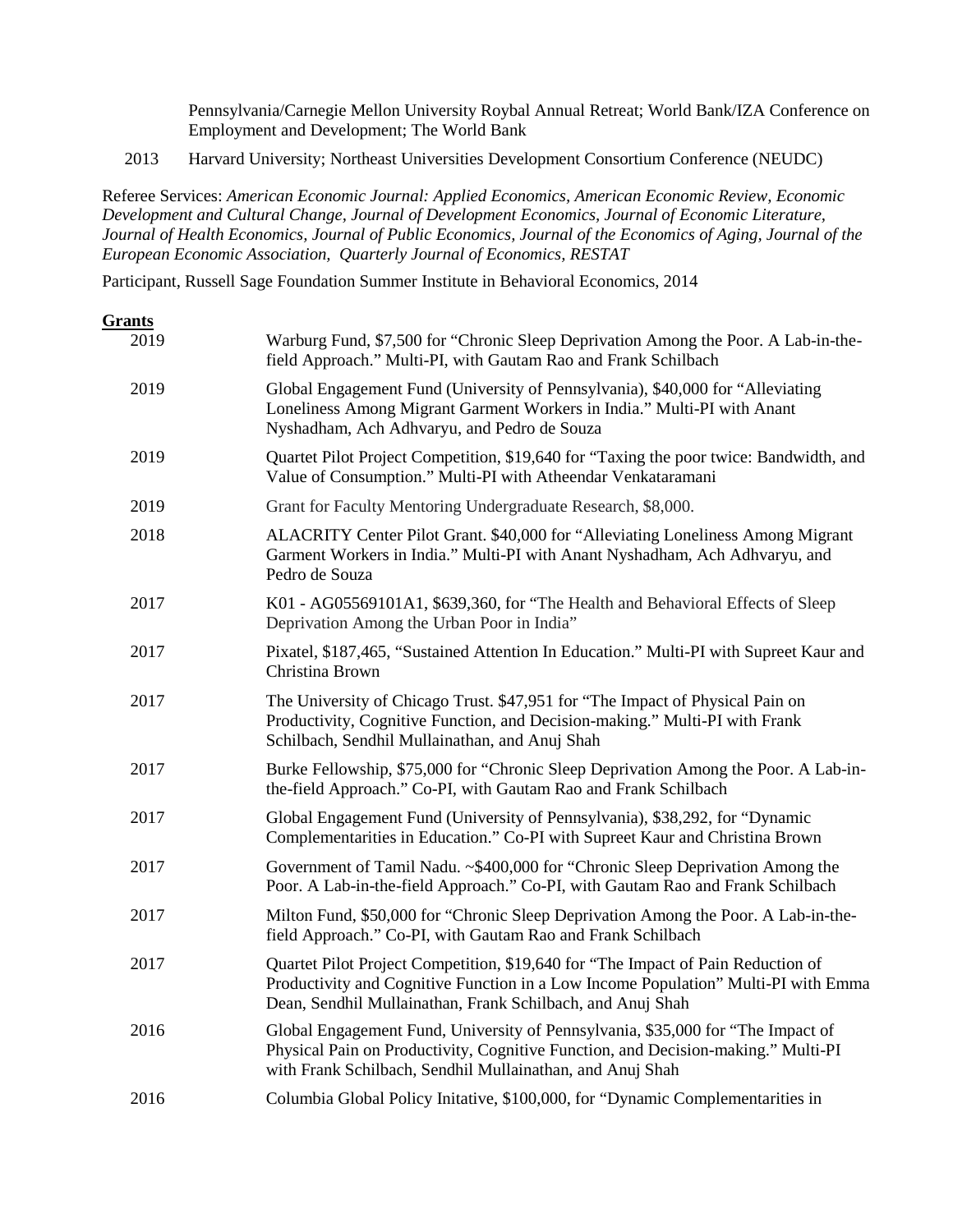Pennsylvania/Carnegie Mellon University Roybal Annual Retreat; World Bank/IZA Conference on Employment and Development; The World Bank

2013 Harvard University; Northeast Universities Development Consortium Conference (NEUDC)

Referee Services: *American Economic Journal: Applied Economics, American Economic Review, Economic Development and Cultural Change, Journal of Development Economics, Journal of Economic Literature, Journal of Health Economics, Journal of Public Economics, Journal of the Economics of Aging, Journal of the European Economic Association, Quarterly Journal of Economics, RESTAT*

Participant, Russell Sage Foundation Summer Institute in Behavioral Economics, 2014

| Grants |                                                                                                                                                                                                                                      |
|--------|--------------------------------------------------------------------------------------------------------------------------------------------------------------------------------------------------------------------------------------|
| 2019   | Warburg Fund, \$7,500 for "Chronic Sleep Deprivation Among the Poor. A Lab-in-the-<br>field Approach." Multi-PI, with Gautam Rao and Frank Schilbach                                                                                 |
| 2019   | Global Engagement Fund (University of Pennsylvania), \$40,000 for "Alleviating<br>Loneliness Among Migrant Garment Workers in India." Multi-PI with Anant<br>Nyshadham, Ach Adhvaryu, and Pedro de Souza                             |
| 2019   | Quartet Pilot Project Competition, \$19,640 for "Taxing the poor twice: Bandwidth, and<br>Value of Consumption." Multi-PI with Atheendar Venkataramani                                                                               |
| 2019   | Grant for Faculty Mentoring Undergraduate Research, \$8,000.                                                                                                                                                                         |
| 2018   | ALACRITY Center Pilot Grant. \$40,000 for "Alleviating Loneliness Among Migrant<br>Garment Workers in India." Multi-PI with Anant Nyshadham, Ach Adhvaryu, and<br>Pedro de Souza                                                     |
| 2017   | K01 - AG05569101A1, \$639,360, for "The Health and Behavioral Effects of Sleep<br>Deprivation Among the Urban Poor in India"                                                                                                         |
| 2017   | Pixatel, \$187,465, "Sustained Attention In Education." Multi-PI with Supreet Kaur and<br>Christina Brown                                                                                                                            |
| 2017   | The University of Chicago Trust. \$47,951 for "The Impact of Physical Pain on<br>Productivity, Cognitive Function, and Decision-making." Multi-PI with Frank<br>Schilbach, Sendhil Mullainathan, and Anuj Shah                       |
| 2017   | Burke Fellowship, \$75,000 for "Chronic Sleep Deprivation Among the Poor. A Lab-in-<br>the-field Approach." Co-PI, with Gautam Rao and Frank Schilbach                                                                               |
| 2017   | Global Engagement Fund (University of Pennsylvania), \$38,292, for "Dynamic<br>Complementarities in Education." Co-PI with Supreet Kaur and Christina Brown                                                                          |
| 2017   | Government of Tamil Nadu. ~\$400,000 for "Chronic Sleep Deprivation Among the<br>Poor. A Lab-in-the-field Approach." Co-PI, with Gautam Rao and Frank Schilbach                                                                      |
| 2017   | Milton Fund, \$50,000 for "Chronic Sleep Deprivation Among the Poor. A Lab-in-the-<br>field Approach." Co-PI, with Gautam Rao and Frank Schilbach                                                                                    |
| 2017   | Quartet Pilot Project Competition, \$19,640 for "The Impact of Pain Reduction of<br>Productivity and Cognitive Function in a Low Income Population" Multi-PI with Emma<br>Dean, Sendhil Mullainathan, Frank Schilbach, and Anuj Shah |
| 2016   | Global Engagement Fund, University of Pennsylvania, \$35,000 for "The Impact of<br>Physical Pain on Productivity, Cognitive Function, and Decision-making." Multi-PI<br>with Frank Schilbach, Sendhil Mullainathan, and Anuj Shah    |
| 2016   | Columbia Global Policy Initative, \$100,000, for "Dynamic Complementarities in                                                                                                                                                       |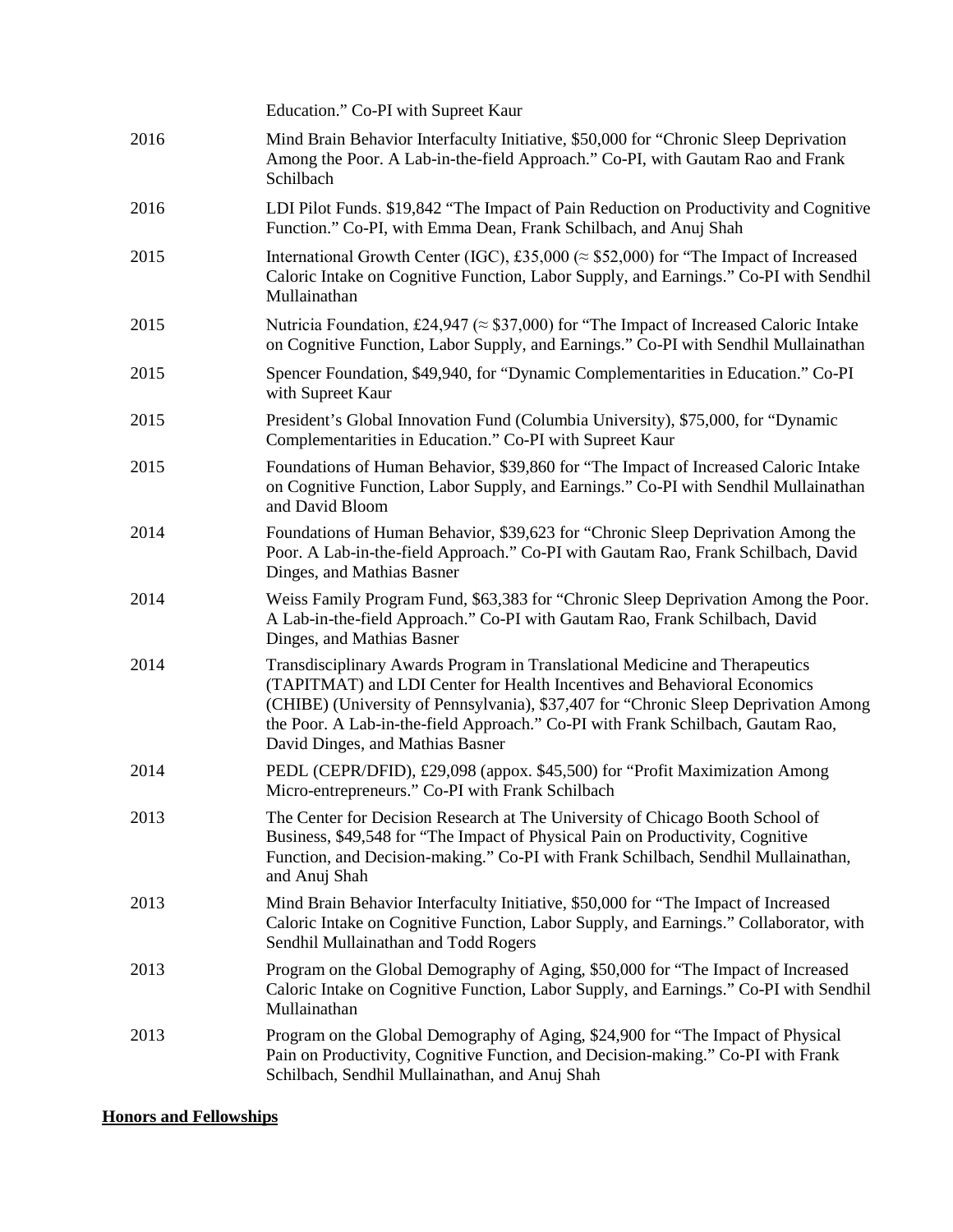|      | Education." Co-PI with Supreet Kaur                                                                                                                                                                                                                                                                                                                                   |
|------|-----------------------------------------------------------------------------------------------------------------------------------------------------------------------------------------------------------------------------------------------------------------------------------------------------------------------------------------------------------------------|
| 2016 | Mind Brain Behavior Interfaculty Initiative, \$50,000 for "Chronic Sleep Deprivation<br>Among the Poor. A Lab-in-the-field Approach." Co-PI, with Gautam Rao and Frank<br>Schilbach                                                                                                                                                                                   |
| 2016 | LDI Pilot Funds. \$19,842 "The Impact of Pain Reduction on Productivity and Cognitive<br>Function." Co-PI, with Emma Dean, Frank Schilbach, and Anuj Shah                                                                                                                                                                                                             |
| 2015 | International Growth Center (IGC), £35,000 ( $\approx$ \$52,000) for "The Impact of Increased<br>Caloric Intake on Cognitive Function, Labor Supply, and Earnings." Co-PI with Sendhil<br>Mullainathan                                                                                                                                                                |
| 2015 | Nutricia Foundation, £24,947 ( $\approx$ \$37,000) for "The Impact of Increased Caloric Intake<br>on Cognitive Function, Labor Supply, and Earnings." Co-PI with Sendhil Mullainathan                                                                                                                                                                                 |
| 2015 | Spencer Foundation, \$49,940, for "Dynamic Complementarities in Education." Co-PI<br>with Supreet Kaur                                                                                                                                                                                                                                                                |
| 2015 | President's Global Innovation Fund (Columbia University), \$75,000, for "Dynamic<br>Complementarities in Education." Co-PI with Supreet Kaur                                                                                                                                                                                                                          |
| 2015 | Foundations of Human Behavior, \$39,860 for "The Impact of Increased Caloric Intake<br>on Cognitive Function, Labor Supply, and Earnings." Co-PI with Sendhil Mullainathan<br>and David Bloom                                                                                                                                                                         |
| 2014 | Foundations of Human Behavior, \$39,623 for "Chronic Sleep Deprivation Among the<br>Poor. A Lab-in-the-field Approach." Co-PI with Gautam Rao, Frank Schilbach, David<br>Dinges, and Mathias Basner                                                                                                                                                                   |
| 2014 | Weiss Family Program Fund, \$63,383 for "Chronic Sleep Deprivation Among the Poor.<br>A Lab-in-the-field Approach." Co-PI with Gautam Rao, Frank Schilbach, David<br>Dinges, and Mathias Basner                                                                                                                                                                       |
| 2014 | Transdisciplinary Awards Program in Translational Medicine and Therapeutics<br>(TAPITMAT) and LDI Center for Health Incentives and Behavioral Economics<br>(CHIBE) (University of Pennsylvania), \$37,407 for "Chronic Sleep Deprivation Among<br>the Poor. A Lab-in-the-field Approach." Co-PI with Frank Schilbach, Gautam Rao,<br>David Dinges, and Mathias Basner |
| 2014 | PEDL (CEPR/DFID), £29,098 (appox. \$45,500) for "Profit Maximization Among<br>Micro-entrepreneurs." Co-PI with Frank Schilbach                                                                                                                                                                                                                                        |
| 2013 | The Center for Decision Research at The University of Chicago Booth School of<br>Business, \$49,548 for "The Impact of Physical Pain on Productivity, Cognitive<br>Function, and Decision-making." Co-PI with Frank Schilbach, Sendhil Mullainathan,<br>and Anuj Shah                                                                                                 |
| 2013 | Mind Brain Behavior Interfaculty Initiative, \$50,000 for "The Impact of Increased<br>Caloric Intake on Cognitive Function, Labor Supply, and Earnings." Collaborator, with<br>Sendhil Mullainathan and Todd Rogers                                                                                                                                                   |
| 2013 | Program on the Global Demography of Aging, \$50,000 for "The Impact of Increased<br>Caloric Intake on Cognitive Function, Labor Supply, and Earnings." Co-PI with Sendhil<br>Mullainathan                                                                                                                                                                             |
| 2013 | Program on the Global Demography of Aging, \$24,900 for "The Impact of Physical<br>Pain on Productivity, Cognitive Function, and Decision-making." Co-PI with Frank<br>Schilbach, Sendhil Mullainathan, and Anuj Shah                                                                                                                                                 |

# **Honors and Fellowships**